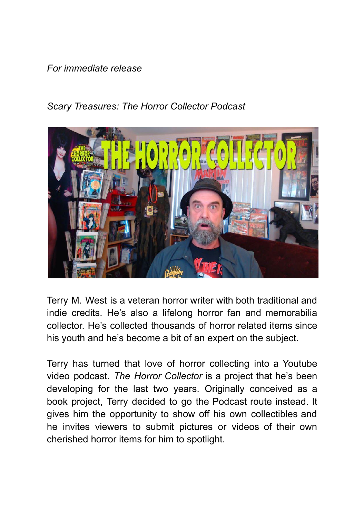## *For immediate release*

## *Scary Treasures: The Horror Collector Podcast*



Terry M. West is a veteran horror writer with both traditional and indie credits. He's also a lifelong horror fan and memorabilia collector. He's collected thousands of horror related items since his youth and he's become a bit of an expert on the subject.

Terry has turned that love of horror collecting into a Youtube video podcast. *The Horror Collector* is a project that he's been developing for the last two years. Originally conceived as a book project, Terry decided to go the Podcast route instead. It gives him the opportunity to show off his own collectibles and he invites viewers to submit pictures or videos of their own cherished horror items for him to spotlight.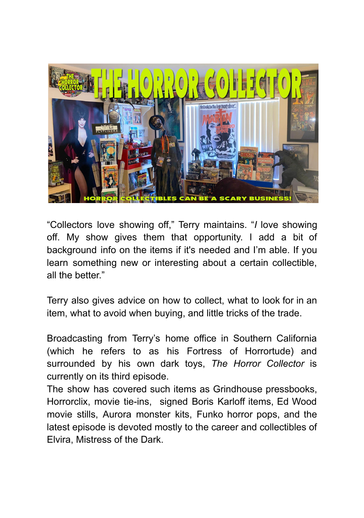

"Collectors love showing off," Terry maintains. "*I* love showing off. My show gives them that opportunity. I add a bit of background info on the items if it's needed and I'm able. If you learn something new or interesting about a certain collectible, all the better."

Terry also gives advice on how to collect, what to look for in an item, what to avoid when buying, and little tricks of the trade.

Broadcasting from Terry's home office in Southern California (which he refers to as his Fortress of Horrortude) and surrounded by his own dark toys, *The Horror Collector* is currently on its third episode.

The show has covered such items as Grindhouse pressbooks, Horrorclix, movie tie-ins, signed Boris Karloff items, Ed Wood movie stills, Aurora monster kits, Funko horror pops, and the latest episode is devoted mostly to the career and collectibles of Elvira, Mistress of the Dark.